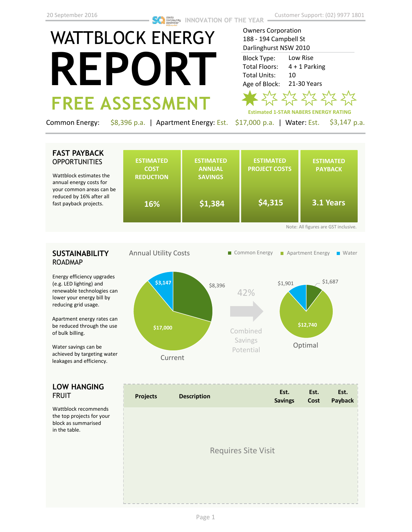# WATTBLOCK ENERGY **REPORT FREE ASSESSMENT**

Owners Corporation 188 - 194 Campbell St Darlinghurst NSW 2010 Low Rise Block Type:

4 + 1 Parking 10 21-30 Years Total Floors: Total Units: Age of Block:



Common Energy: \$8,396 p.a. | Apartment Energy: Est. \$17,000 p.a. | Water: Est. \$3,147 p.a.

## **FAST PAYBACK OPPORTUNITIES**

Wattblock estimates the annual energy costs for your common areas can be reduced by 16% after all fast payback projects.

|    | <b>ESTIMATED</b><br><b>COST</b><br><b>REDUCTION</b> | <b>ESTIMATED</b><br><b>ANNUAL</b><br><b>SAVINGS</b> | <b>ESTIMATED</b><br><b>PROJECT COSTS</b> | <b>ESTIMATED</b><br><b>PAYBACK</b><br>3.1 Years |
|----|-----------------------------------------------------|-----------------------------------------------------|------------------------------------------|-------------------------------------------------|
| be | 16%                                                 | \$1,384                                             | \$4,315                                  |                                                 |

## **SUSTAINABILITY** ROADMAP

Energy efficiency upgrades (e.g. LED lighting) and renewable technologies can lower your energy bill by reducing grid usage.

Apartment energy rates can be reduced through the use of bulk billing.

Water savings can be achieved by targeting water leakages and efficiency.

## **LOW HANGING**  FRUIT

Wattblock recommends the top projects for your block as summarised in the table.